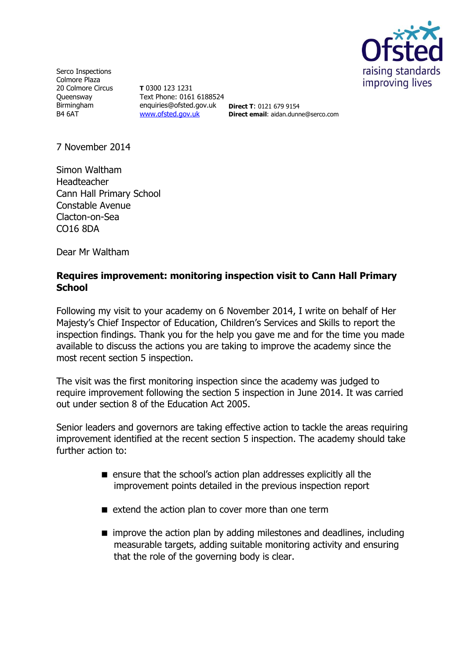

Serco Inspections Colmore Plaza 20 Colmore Circus **Oueensway** Birmingham B4 6AT

**T** 0300 123 1231 Text Phone: 0161 6188524 enquiries@ofsted.gov.uk **Direct T**: 0121 679 9154 [www.ofsted.gov.uk](http://www.ofsted.gov.uk/)

**Direct email**: aidan.dunne@serco.com

7 November 2014

Simon Waltham Headteacher Cann Hall Primary School Constable Avenue Clacton-on-Sea CO16 8DA

Dear Mr Waltham

## **Requires improvement: monitoring inspection visit to Cann Hall Primary School**

Following my visit to your academy on 6 November 2014, I write on behalf of Her Majesty's Chief Inspector of Education, Children's Services and Skills to report the inspection findings. Thank you for the help you gave me and for the time you made available to discuss the actions you are taking to improve the academy since the most recent section 5 inspection.

The visit was the first monitoring inspection since the academy was judged to require improvement following the section 5 inspection in June 2014. It was carried out under section 8 of the Education Act 2005.

Senior leaders and governors are taking effective action to tackle the areas requiring improvement identified at the recent section 5 inspection. The academy should take further action to:

- **E** ensure that the school's action plan addresses explicitly all the improvement points detailed in the previous inspection report
- $\blacksquare$  extend the action plan to cover more than one term
- $\blacksquare$  improve the action plan by adding milestones and deadlines, including measurable targets, adding suitable monitoring activity and ensuring that the role of the governing body is clear.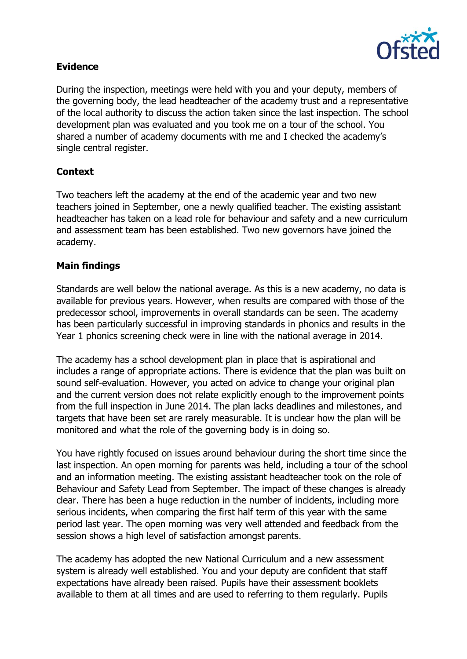

## **Evidence**

During the inspection, meetings were held with you and your deputy, members of the governing body, the lead headteacher of the academy trust and a representative of the local authority to discuss the action taken since the last inspection. The school development plan was evaluated and you took me on a tour of the school. You shared a number of academy documents with me and I checked the academy's single central register.

# **Context**

Two teachers left the academy at the end of the academic year and two new teachers joined in September, one a newly qualified teacher. The existing assistant headteacher has taken on a lead role for behaviour and safety and a new curriculum and assessment team has been established. Two new governors have joined the academy.

## **Main findings**

Standards are well below the national average. As this is a new academy, no data is available for previous years. However, when results are compared with those of the predecessor school, improvements in overall standards can be seen. The academy has been particularly successful in improving standards in phonics and results in the Year 1 phonics screening check were in line with the national average in 2014.

The academy has a school development plan in place that is aspirational and includes a range of appropriate actions. There is evidence that the plan was built on sound self-evaluation. However, you acted on advice to change your original plan and the current version does not relate explicitly enough to the improvement points from the full inspection in June 2014. The plan lacks deadlines and milestones, and targets that have been set are rarely measurable. It is unclear how the plan will be monitored and what the role of the governing body is in doing so.

You have rightly focused on issues around behaviour during the short time since the last inspection. An open morning for parents was held, including a tour of the school and an information meeting. The existing assistant headteacher took on the role of Behaviour and Safety Lead from September. The impact of these changes is already clear. There has been a huge reduction in the number of incidents, including more serious incidents, when comparing the first half term of this year with the same period last year. The open morning was very well attended and feedback from the session shows a high level of satisfaction amongst parents.

The academy has adopted the new National Curriculum and a new assessment system is already well established. You and your deputy are confident that staff expectations have already been raised. Pupils have their assessment booklets available to them at all times and are used to referring to them regularly. Pupils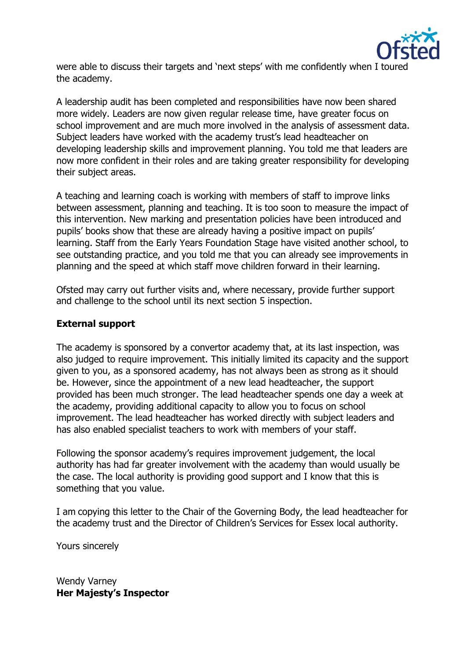

were able to discuss their targets and 'next steps' with me confidently when I toured the academy.

A leadership audit has been completed and responsibilities have now been shared more widely. Leaders are now given regular release time, have greater focus on school improvement and are much more involved in the analysis of assessment data. Subject leaders have worked with the academy trust's lead headteacher on developing leadership skills and improvement planning. You told me that leaders are now more confident in their roles and are taking greater responsibility for developing their subject areas.

A teaching and learning coach is working with members of staff to improve links between assessment, planning and teaching. It is too soon to measure the impact of this intervention. New marking and presentation policies have been introduced and pupils' books show that these are already having a positive impact on pupils' learning. Staff from the Early Years Foundation Stage have visited another school, to see outstanding practice, and you told me that you can already see improvements in planning and the speed at which staff move children forward in their learning.

Ofsted may carry out further visits and, where necessary, provide further support and challenge to the school until its next section 5 inspection.

## **External support**

The academy is sponsored by a convertor academy that, at its last inspection, was also judged to require improvement. This initially limited its capacity and the support given to you, as a sponsored academy, has not always been as strong as it should be. However, since the appointment of a new lead headteacher, the support provided has been much stronger. The lead headteacher spends one day a week at the academy, providing additional capacity to allow you to focus on school improvement. The lead headteacher has worked directly with subject leaders and has also enabled specialist teachers to work with members of your staff.

Following the sponsor academy's requires improvement judgement, the local authority has had far greater involvement with the academy than would usually be the case. The local authority is providing good support and I know that this is something that you value.

I am copying this letter to the Chair of the Governing Body, the lead headteacher for the academy trust and the Director of Children's Services for Essex local authority.

Yours sincerely

Wendy Varney **Her Majesty's Inspector**